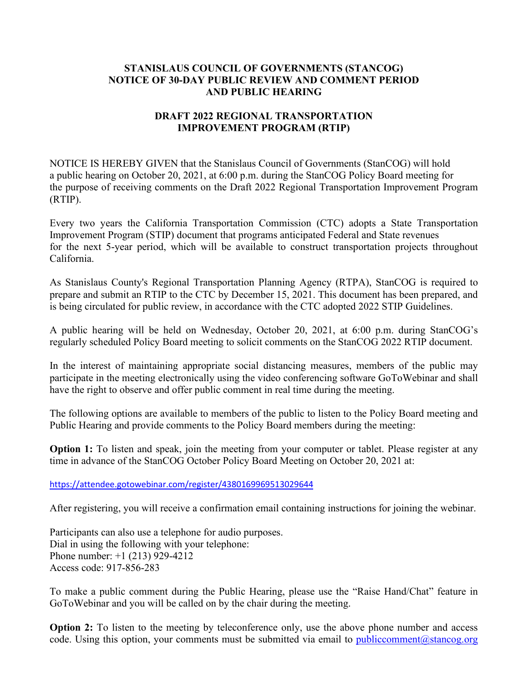## **STANISLAUS COUNCIL OF GOVERNMENTS (STANCOG) NOTICE OF 30-DAY PUBLIC REVIEW AND COMMENT PERIOD AND PUBLIC HEARING**

## **DRAFT 2022 REGIONAL TRANSPORTATION IMPROVEMENT PROGRAM (RTIP)**

NOTICE IS HEREBY GIVEN that the Stanislaus Council of Governments (StanCOG) will hold a public hearing on October 20, 2021, at 6:00 p.m. during the StanCOG Policy Board meeting for the purpose of receiving comments on the Draft 2022 Regional Transportation Improvement Program (RTIP).

Every two years the California Transportation Commission (CTC) adopts a State Transportation Improvement Program (STIP) document that programs anticipated Federal and State revenues for the next 5-year period, which will be available to construct transportation projects throughout California.

As Stanislaus County's Regional Transportation Planning Agency (RTPA), StanCOG is required to prepare and submit an RTIP to the CTC by December 15, 2021. This document has been prepared, and is being circulated for public review, in accordance with the CTC adopted 2022 STIP Guidelines.

A public hearing will be held on Wednesday, October 20, 2021, at 6:00 p.m. during StanCOG's regularly scheduled Policy Board meeting to solicit comments on the StanCOG 2022 RTIP document.

In the interest of maintaining appropriate social distancing measures, members of the public may participate in the meeting electronically using the video conferencing software GoToWebinar and shall have the right to observe and offer public comment in real time during the meeting.

The following options are available to members of the public to listen to the Policy Board meeting and Public Hearing and provide comments to the Policy Board members during the meeting:

**Option 1:** To listen and speak, join the meeting from your computer or tablet. Please register at any time in advance of the StanCOG October Policy Board Meeting on October 20, 2021 at:

<https://attendee.gotowebinar.com/register/4380169969513029644>

After registering, you will receive a confirmation email containing instructions for joining the webinar.

Participants can also use a telephone for audio purposes. Dial in using the following with your telephone: Phone number: +1 (213) 929-4212 Access code: 917-856-283

To make a public comment during the Public Hearing, please use the "Raise Hand/Chat" feature in GoToWebinar and you will be called on by the chair during the meeting.

**Option 2:** To listen to the meeting by teleconference only, use the above phone number and access code. Using this option, your comments must be submitted via email to [publiccomment@stancog.org](mailto:publiccomment@stancog.org)